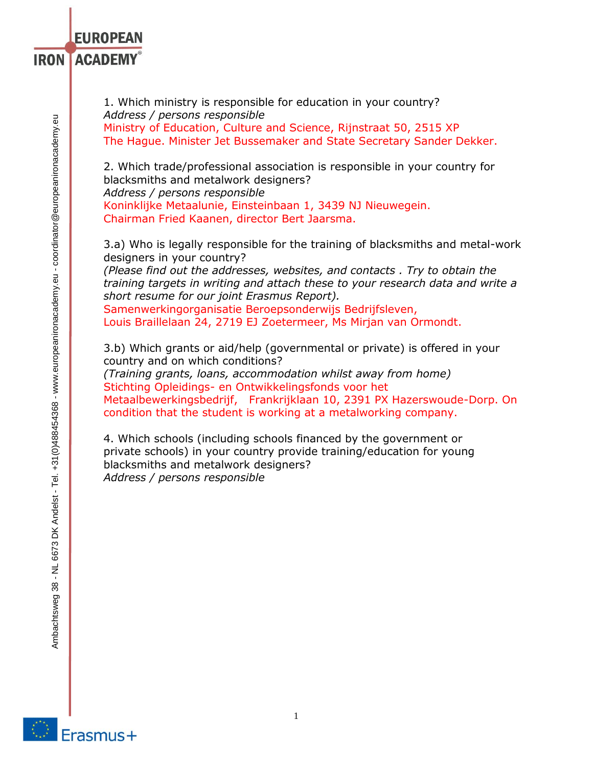I

1. Which ministry is responsible for education in your country? *Address / persons responsible*  Ministry of Education, Culture and Science, Rijnstraat 50, 2515 XP The Hague. Minister Jet Bussemaker and State Secretary Sander Dekker.

2. Which trade/professional association is responsible in your country for blacksmiths and metalwork designers? *Address / persons responsible*  Koninklijke Metaalunie, Einsteinbaan 1, 3439 NJ Nieuwegein. Chairman Fried Kaanen, director Bert Jaarsma.

3.a) Who is legally responsible for the training of blacksmiths and metal-work designers in your country?

*(Please find out the addresses, websites, and contacts . Try to obtain the training targets in writing and attach these to your research data and write a short resume for our joint Erasmus Report).* 

Samenwerkingorganisatie Beroepsonderwijs Bedrijfsleven, Louis Braillelaan 24, 2719 EJ Zoetermeer, Ms Mirjan van Ormondt.

3.b) Which grants or aid/help (governmental or private) is offered in your country and on which conditions? *(Training grants, loans, accommodation whilst away from home)*  Stichting Opleidings- en Ontwikkelingsfonds voor het Metaalbewerkingsbedrijf, Frankrijklaan 10, 2391 PX Hazerswoude-Dorp. On condition that the student is working at a metalworking company.

4. Which schools (including schools financed by the government or private schools) in your country provide training/education for young blacksmiths and metalwork designers? *Address / persons responsible* 

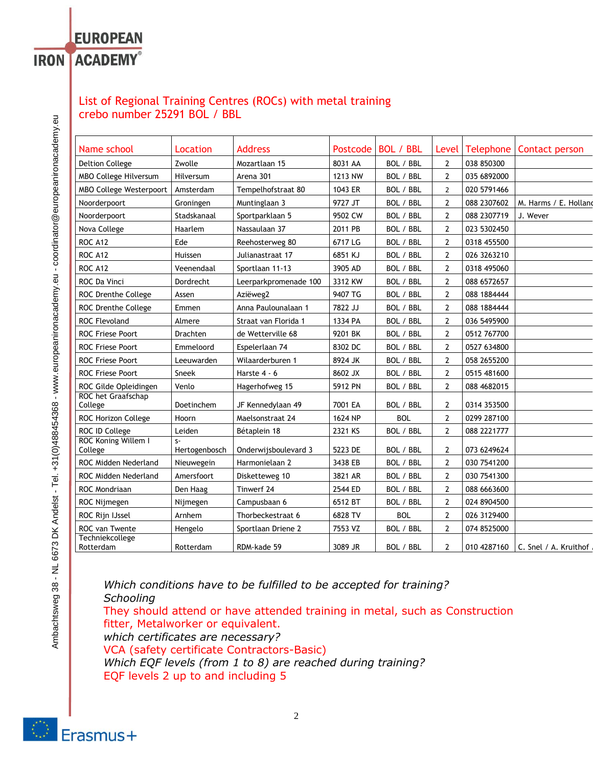# **EUROPEAN IRON ACADEMY®**

# List of Regional Training Centres (ROCs) with metal training crebo number 25291 BOL / BBL

| Name school                    | Location              | <b>Address</b>        | Postcode | <b>BOL / BBL</b> | Level          | Telephone   | Contact person                      |
|--------------------------------|-----------------------|-----------------------|----------|------------------|----------------|-------------|-------------------------------------|
| <b>Deltion College</b>         | Zwolle                | Mozartlaan 15         | 8031 AA  | BOL / BBL        | $\overline{2}$ | 038 850300  |                                     |
| MBO College Hilversum          | Hilversum             | Arena 301             | 1213 NW  | BOL / BBL        | $\overline{2}$ | 035 6892000 |                                     |
| MBO College Westerpoort        | Amsterdam             | Tempelhofstraat 80    | 1043 ER  | BOL / BBL        | $\overline{2}$ | 020 5791466 |                                     |
| Noorderpoort                   | Groningen             | Muntinglaan 3         | 9727 JT  | BOL / BBL        | $\overline{2}$ | 088 2307602 | M. Harms / E. Holland               |
| Noorderpoort                   | Stadskanaal           | Sportparklaan 5       | 9502 CW  | BOL / BBL        | $\overline{2}$ | 088 2307719 | J. Wever                            |
| Nova College                   | Haarlem               | Nassaulaan 37         | 2011 PB  | BOL / BBL        | $\overline{2}$ | 023 5302450 |                                     |
| <b>ROC A12</b>                 | Ede                   | Reehosterweg 80       | 6717 LG  | BOL / BBL        | $\overline{2}$ | 0318 455500 |                                     |
| <b>ROC A12</b>                 | Huissen               | Julianastraat 17      | 6851 KJ  | BOL / BBL        | $\overline{2}$ | 026 3263210 |                                     |
| ROC A12                        | Veenendaal            | Sportlaan 11-13       | 3905 AD  | BOL / BBL        | $\overline{2}$ | 0318 495060 |                                     |
| ROC Da Vinci                   | Dordrecht             | Leerparkpromenade 100 | 3312 KW  | BOL / BBL        | $\overline{2}$ | 088 6572657 |                                     |
| ROC Drenthe College            | Assen                 | Aziëweg2              | 9407 TG  | BOL / BBL        | $\overline{2}$ | 088 1884444 |                                     |
| ROC Drenthe College            | Emmen                 | Anna Paulounalaan 1   | 7822 JJ  | BOL / BBL        | $\overline{2}$ | 088 1884444 |                                     |
| ROC Flevoland                  | Almere                | Straat van Florida 1  | 1334 PA  | BOL / BBL        | $\overline{2}$ | 036 5495900 |                                     |
| <b>ROC Friese Poort</b>        | Drachten              | de Wetterville 68     | 9201 BK  | BOL / BBL        | $\overline{2}$ | 0512 767700 |                                     |
| ROC Friese Poort               | Emmeloord             | Espelerlaan 74        | 8302 DC  | BOL / BBL        | $\overline{2}$ | 0527 634800 |                                     |
| <b>ROC Friese Poort</b>        | Leeuwarden            | Wilaarderburen 1      | 8924 JK  | BOL / BBL        | $\overline{2}$ | 058 2655200 |                                     |
| ROC Friese Poort               | Sneek                 | Harste 4 - 6          | 8602 JX  | BOL / BBL        | $\overline{2}$ | 0515 481600 |                                     |
| ROC Gilde Opleidingen          | Venlo                 | Hagerhofweg 15        | 5912 PN  | BOL / BBL        | $\overline{2}$ | 088 4682015 |                                     |
| ROC het Graafschap<br>College  | Doetinchem            | JF Kennedylaan 49     | 7001 EA  | BOL / BBL        | $\overline{2}$ | 0314 353500 |                                     |
| ROC Horizon College            | Hoorn                 | Maelsonstraat 24      | 1624 NP  | <b>BOL</b>       | $\overline{2}$ | 0299 287100 |                                     |
| ROC ID College                 | Leiden                | Bétaplein 18          | 2321 KS  | BOL / BBL        | $\overline{2}$ | 088 2221777 |                                     |
| ROC Koning Willem I<br>College | $S-$<br>Hertogenbosch | Onderwijsboulevard 3  | 5223 DE  | BOL / BBL        | $\overline{2}$ | 073 6249624 |                                     |
| ROC Midden Nederland           | Nieuwegein            | Harmonielaan 2        | 3438 EB  | BOL / BBL        | $\overline{2}$ | 030 7541200 |                                     |
| <b>ROC Midden Nederland</b>    | Amersfoort            | Disketteweg 10        | 3821 AR  | BOL / BBL        | $\mathbf{2}$   | 030 7541300 |                                     |
| ROC Mondriaan                  | Den Haag              | Tinwerf 24            | 2544 ED  | BOL / BBL        | $\overline{2}$ | 088 6663600 |                                     |
| ROC Nijmegen                   | Nijmegen              | Campusbaan 6          | 6512 BT  | BOL / BBL        | $\overline{2}$ | 024 8904500 |                                     |
| ROC Rijn IJssel                | Arnhem                | Thorbeckestraat 6     | 6828 TV  | <b>BOL</b>       | $\overline{2}$ | 026 3129400 |                                     |
| ROC van Twente                 | Hengelo               | Sportlaan Driene 2    | 7553 VZ  | BOL / BBL        | $\overline{2}$ | 074 8525000 |                                     |
| Techniekcollege<br>Rotterdam   | Rotterdam             | RDM-kade 59           | 3089 JR  | BOL / BBL        | $\overline{2}$ |             | 010 4287160   C. Snel / A. Kruithof |

*Which conditions have to be fulfilled to be accepted for training? Schooling*  They should attend or have attended training in metal, such as Construction fitter, Metalworker or equivalent. *which certificates are necessary?* VCA (safety certificate Contractors-Basic) *Which EQF levels (from 1 to 8) are reached during training?* EQF levels 2 up to and including 5

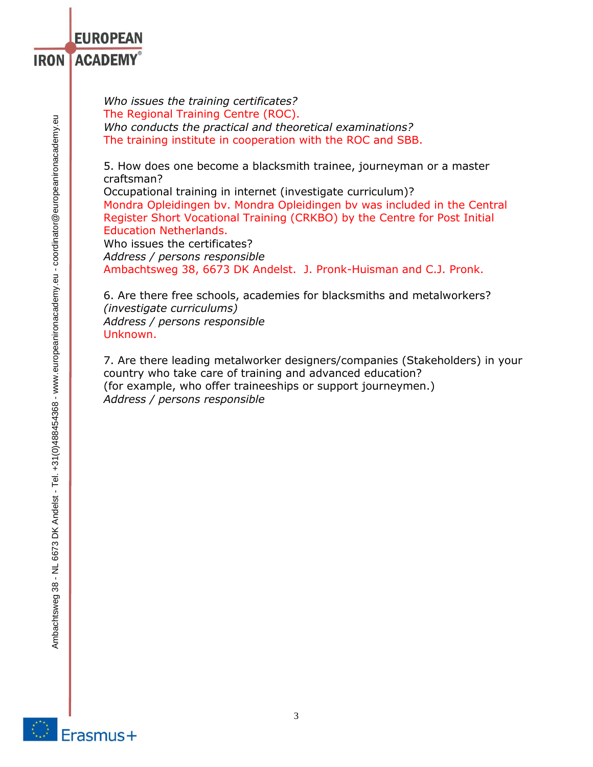*Who issues the training certificates?* The Regional Training Centre (ROC). *Who conducts the practical and theoretical examinations?*  The training institute in cooperation with the ROC and SBB.

5. How does one become a blacksmith trainee, journeyman or a master craftsman?

Occupational training in internet (investigate curriculum)? Mondra Opleidingen bv. Mondra Opleidingen bv was included in the Central Register Short Vocational Training (CRKBO) by the Centre for Post Initial Education Netherlands.

Who issues the certificates? *Address / persons responsible*  Ambachtsweg 38, 6673 DK Andelst. J. Pronk-Huisman and C.J. Pronk.

6. Are there free schools, academies for blacksmiths and metalworkers? *(investigate curriculums) Address / persons responsible*  Unknown.

7. Are there leading metalworker designers/companies (Stakeholders) in your country who take care of training and advanced education? (for example, who offer traineeships or support journeymen.) *Address / persons responsible* 

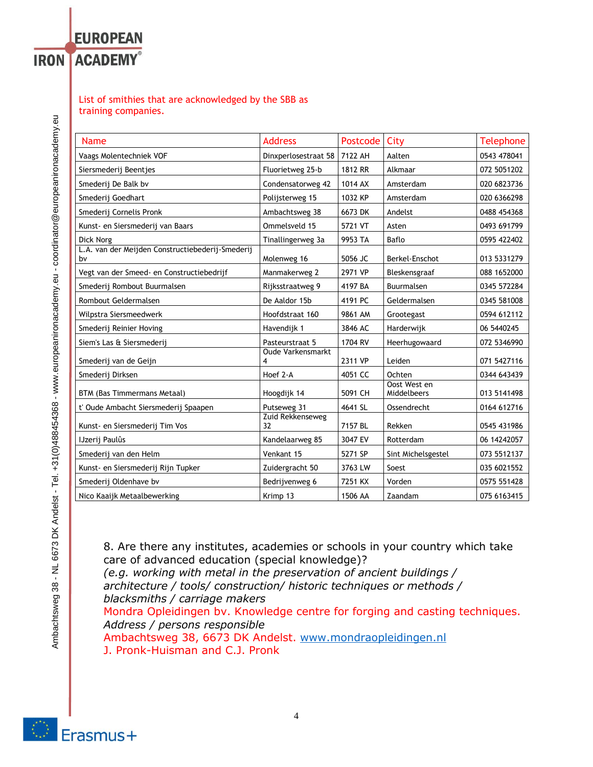### List of smithies that are acknowledged by the SBB as training companies.

**EUROPEAN** 

**IRON ACADEMY®** 

| <b>Name</b>                                            | <b>Address</b>                | Postcode | City                        | <b>Telephone</b> |
|--------------------------------------------------------|-------------------------------|----------|-----------------------------|------------------|
| Vaags Molentechniek VOF                                | Dinxperlosestraat 58          | 7122 AH  | Aalten                      | 0543 478041      |
| Siersmederij Beentjes                                  | Fluorietweg 25-b              | 1812 RR  | Alkmaar                     | 072 5051202      |
| Smederij De Balk bv                                    | Condensatorweg 42             | 1014 AX  | Amsterdam                   | 020 6823736      |
| Smederij Goedhart                                      | Polijsterweg 15               | 1032 KP  | Amsterdam                   | 020 6366298      |
| Smederij Cornelis Pronk                                | Ambachtsweg 38                | 6673 DK  | Andelst                     | 0488 454368      |
| Kunst- en Siersmederij van Baars                       | Ommelsveld 15                 | 5721 VT  | Asten                       | 0493 691799      |
| Dick Norg                                              | Tinallingerweg 3a             | 9953 TA  | Baflo                       | 0595 422402      |
| L.A. van der Meijden Constructiebederij-Smederij<br>b٧ | Molenweg 16                   | 5056 JC  | Berkel-Enschot              | 013 5331279      |
| Vegt van der Smeed- en Constructiebedrijf              | Manmakerweg 2                 | 2971 VP  | Bleskensgraaf               | 088 1652000      |
| Smederij Rombout Buurmalsen                            | Rijksstraatweg 9              | 4197 BA  | Buurmalsen                  | 0345 572284      |
| Rombout Geldermalsen                                   | De Aaldor 15b                 | 4191 PC  | Geldermalsen                | 0345 581008      |
| Wilpstra Siersmeedwerk                                 | Hoofdstraat 160               | 9861 AM  | Grootegast                  | 0594 612112      |
| Smederij Reinier Hoving                                | Havendijk 1                   | 3846 AC  | Harderwijk                  | 06 5440245       |
| Siem's Las & Siersmederij                              | Pasteurstraat 5               | 1704 RV  | Heerhugowaard               | 072 5346990      |
| Smederij van de Geijn                                  | <b>Oude Varkensmarkt</b><br>4 | 2311 VP  | Leiden                      | 071 5427116      |
| Smederij Dirksen                                       | Hoef 2-A                      | 4051 CC  | Ochten                      | 0344 643439      |
| BTM (Bas Timmermans Metaal)                            | Hoogdijk 14                   | 5091 CH  | Oost West en<br>Middelbeers | 013 5141498      |
| t' Oude Ambacht Siersmederij Spaapen                   | Putseweg 31                   | 4641 SL  | Ossendrecht                 | 0164 612716      |
| Kunst- en Siersmederij Tim Vos                         | Zuid Rekkenseweg<br>32        | 7157 BL  | Rekken                      | 0545 431986      |
| IJzerij Paulûs                                         | Kandelaarweg 85               | 3047 EV  | Rotterdam                   | 06 14242057      |
| Smederij van den Helm                                  | Venkant 15                    | 5271 SP  | Sint Michelsgestel          | 073 5512137      |
| Kunst- en Siersmederij Rijn Tupker                     | Zuidergracht 50               | 3763 LW  | Soest                       | 035 6021552      |
| Smederij Oldenhave bv                                  | Bedrijvenweg 6                | 7251 KX  | Vorden                      | 0575 551428      |
| Nico Kaaijk Metaalbewerking                            | Krimp 13                      | 1506 AA  | Zaandam                     | 075 6163415      |

8. Are there any institutes, academies or schools in your country which take care of advanced education (special knowledge)? *(e.g. working with metal in the preservation of ancient buildings /* 

*architecture / tools/ construction/ historic techniques or methods / blacksmiths / carriage makers*  Mondra Opleidingen bv. Knowledge centre for forging and casting techniques. *Address / persons responsible*  Ambachtsweg 38, 6673 DK Andelst. [www.mondraopleidingen.nl](http://www.mondraopleidingen.nl/)

J. Pronk-Huisman and C.J. Pronk

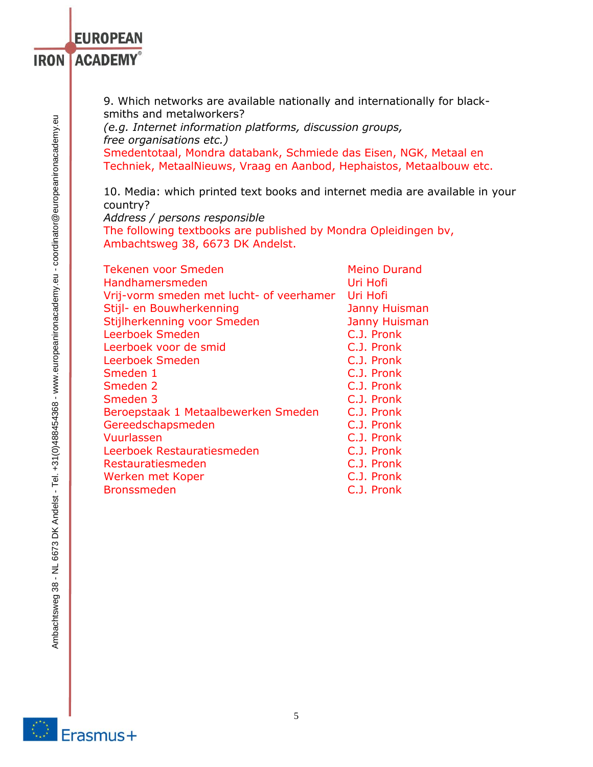9. Which networks are available nationally and internationally for blacksmiths and metalworkers?

*(e.g. Internet information platforms, discussion groups, free organisations etc.)* 

Smedentotaal, Mondra databank, Schmiede das Eisen, NGK, Metaal en Techniek, MetaalNieuws, Vraag en Aanbod, Hephaistos, Metaalbouw etc.

10. Media: which printed text books and internet media are available in your country?

*Address / persons responsible* 

The following textbooks are published by Mondra Opleidingen bv, Ambachtsweg 38, 6673 DK Andelst.

| <b>Tekenen voor Smeden</b>               | <b>Meino Durand</b>  |  |  |
|------------------------------------------|----------------------|--|--|
| Handhamersmeden                          | Uri Hofi             |  |  |
| Vrij-vorm smeden met lucht- of veerhamer | Uri Hofi             |  |  |
| Stijl- en Bouwherkenning                 | <b>Janny Huisman</b> |  |  |
| Stijlherkenning voor Smeden              | <b>Janny Huisman</b> |  |  |
| Leerboek Smeden                          | C.J. Pronk           |  |  |
| Leerboek voor de smid                    | C.J. Pronk           |  |  |
| Leerboek Smeden                          | C.J. Pronk           |  |  |
| Smeden 1                                 | C.J. Pronk           |  |  |
| Smeden 2                                 | C.J. Pronk           |  |  |
| Smeden 3                                 | C.J. Pronk           |  |  |
| Beroepstaak 1 Metaalbewerken Smeden      | C.J. Pronk           |  |  |
| Gereedschapsmeden                        | C.J. Pronk           |  |  |
| Vuurlassen                               | C.J. Pronk           |  |  |
| Leerboek Restauratiesmeden               | C.J. Pronk           |  |  |
| Restauratiesmeden                        | C.J. Pronk           |  |  |
| Werken met Koper                         | C.J. Pronk           |  |  |
| <b>Bronssmeden</b>                       | C.J. Pronk           |  |  |
|                                          |                      |  |  |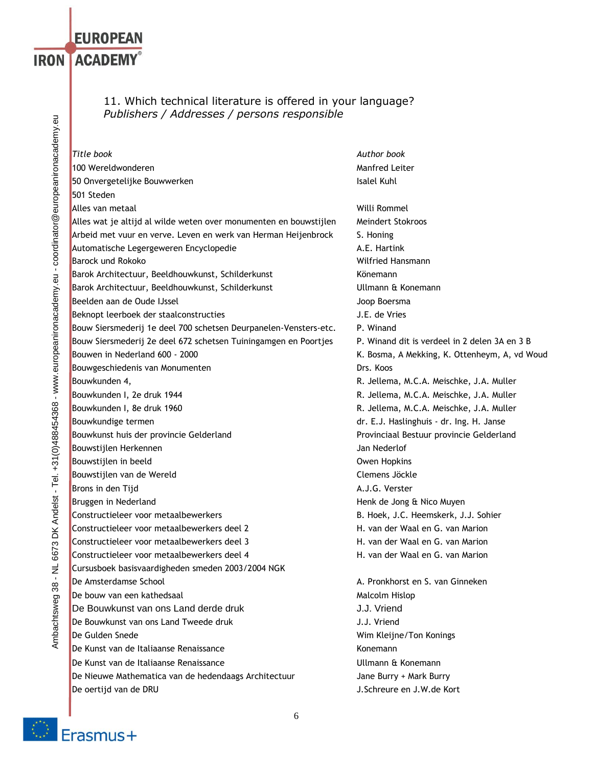## 11. Which technical literature is offered in your language? *Publishers / Addresses / persons responsible*

*Title book Author book* 100 Wereldwonderen Manner Manner (1999) was a statement of the Manner Manner Manner (1990) was a statement of the Manner of the Manner of the Manner (1990) was a statement of the Manner of the Manner of the Manner of the M 50 Onvergetelijke Bouwwerken **Isalel Kuhl** Southern Isalel Kuhl 501 Steden Alles van metaal aan die verskilling van die verskilling van die verskilling van die Willi Rommel Alles wat je altijd al wilde weten over monumenten en bouwstijlen Meindert Stokroos Arbeid met vuur en verve. Leven en werk van Herman Heijenbrock S. Honing Automatische Legergeweren Encyclopedie Automatische A.E. Hartink **Barock und Rokoko Wilfried Hansmann** Barok Architectuur, Beeldhouwkunst, Schilderkunst Könemann Barok Architectuur, Beeldhouwkunst, Schilderkunst Viellmann & Konemann Beelden aan de Oude IJssel Joop Boersma Beknopt leerboek der staalconstructies and a staat and staat J.E. de Vries Bouw Siersmederij 1e deel 700 schetsen Deurpanelen-Vensters-etc. P. Winand Bouw Siersmederij 2e deel 672 schetsen Tuiningamgen en Poortjes P. Winand dit is verdeel in 2 delen 3A en 3 B Bouwen in Nederland 600 - 2000 **K.** Bosma, A Mekking, K. Ottenheym, A, vd Woud Bouwgeschiedenis van Monumenten Drs. Koos Bouwkunden 4, **R. Jellema, M.C.A. Meischke, J.A. Muller** R. Jellema, M.C.A. Meischke, J.A. Muller Bouwkunden I, 2e druk 1944 **R. Jellema, M.C.A. Meischke, J.A. Muller** Bouwkunden I, 8e druk 1960 **Reich Eines Eines Eines Ernesten E**R. Jellema, M.C.A. Meischke, J.A. Muller Bouwkundige termen dr. E.J. Haslinghuis - dr. Ing. H. Janse Bouwkunst huis der provincie Gelderland Provinciaal Bestuur provincie Gelderland Bouwstijlen Herkennen aan de gebouwstijlen Herkennen van de gebouw van de gebouw van de Jan Nederlof Bouwstijlen in beeld **Bouwstiglen in the set of the Community** Community Community Community Owen Hopkins Bouwstijlen van de Wereld aan de Wereld aan de Steffens Jöckle Brons in den Tijd A.J.G. Verster Bruggen in Nederland **Henk de Jong & Nico Muyen** Constructieleer voor metaalbewerkers B. Hoek, J.C. Heemskerk, J.J. Sohier Constructieleer voor metaalbewerkers deel 2 H. van der Waal en G. van Marion Constructieleer voor metaalbewerkers deel 3 H. van der Waal en G. van Marion Constructieleer voor metaalbewerkers deel 4 het metaalbewerkers deel 4 het H. van der Waal en G. van Marion Cursusboek basisvaardigheden smeden 2003/2004 NGK De Amsterdamse School A. Pronkhorst en S. van Ginneken De bouw van een kathedsaal Malcolm Hislop Malcolm Hislop De Bouwkunst van ons Land derde druk **J.J. Vriend** J.J. Vriend De Bouwkunst van ons Land Tweede druk J.J. Vriend De Gulden Snede Wim Kleijne/Ton Konings De Kunst van de Italiaanse Renaissance Konemann (Konemann De Kunst van de Italiaanse Renaissance Ullmann & Konemann De Nieuwe Mathematica van de hedendaags Architectuur Jane Burry + Mark Burry De oertijd van de DRU J.Schreure en J.W.de Kort



**EUROPEAN** 

**IRON ACADEMY®**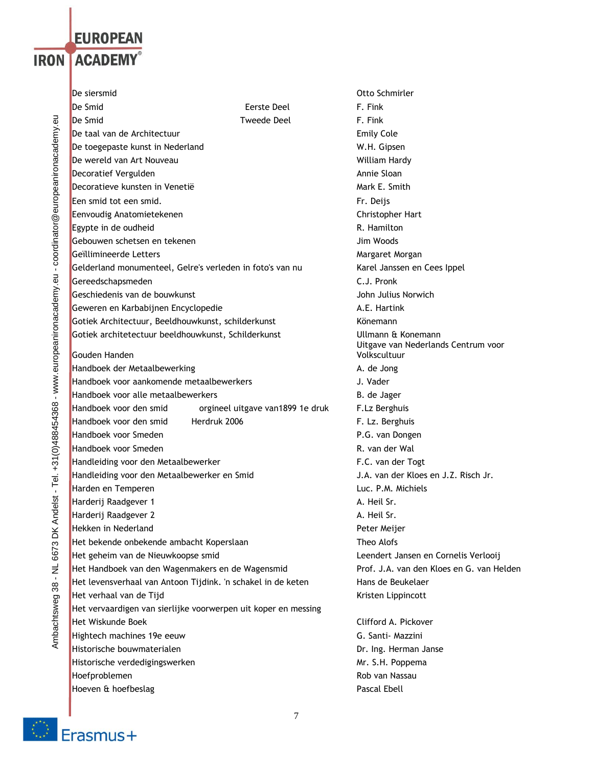# **EUROPEAN IRON LACADEMY**®

Ambachtsweg 38 - NL 6673 DK Andelst - Tel. +31(0)488454368 - www.europeanironacademy.eu - coordinator@europeanironacademy.eu Ambachtsweg 38 - NL 6673 DK Andelst - Tel. +31(0)488454368 - www.europeanironacademy.eu - coordinator@europeanironacademy.eu De siersmid Otto Schmirler **De Smid** Eerste Deel F. Fink **De Smid Communist Communist Communist Communist Communist Communist Communist Communist Communist Communist Co De taal van de Architectuur Emily Cole** De toegepaste kunst in Nederland W.H. Gipsen De wereld van Art Nouveau William Hardy William Hardy William Hardy Decoratief Vergulden Annie Sloan Annie Sloan Annie Sloan Annie Sloan Decoratieve kunsten in Venetië Mark E. Smith Een smid tot een smid. Fr. Deijs Eenvoudig Anatomietekenen Christopher Hart Christopher Hart Egypte in de oudheid **R. Hamilton** R. Hamilton Gebouwen schetsen en tekenen Jim Woods Geïllimineerde Letters and a strong and a strong metal of the Margaret Morgan Gelderland monumenteel, Gelre's verleden in foto's van nu Karel Janssen en Cees Ippel Gereedschapsmeden C.J. Pronk Geschiedenis van de bouwkunst John Julius Norwich Geweren en Karbabijnen Encyclopedie A.E. Hartink Gotiek Architectuur, Beeldhouwkunst, schilderkunst Könemann Gotiek architetectuur beeldhouwkunst, Schilderkunst Ullmann & Konemann Gouden Handen Handboek der Metaalbewerking A. de Jong Handboek voor aankomende metaalbewerkers aan van de steen van de gebouwde van de gebouwde van de gebouwde van de Handboek voor alle metaalbewerkers en aangebroek voor alle metaalbewerkers besteen van de B. de Jager Handboek voor den smid orgineel uitgave van1899 1e druk F.Lz Berghuis Handboek voor den smid Herdruk 2006 F. Lz. Berghuis Handboek voor Smeden P.G. van Dongen Handboek voor Smeden R. van der Wal en der Wal en der Wal en der Wal en der Wal en der Wal en der Wal en der W Handleiding voor den Metaalbewerker F.C. van der Togt Handleiding voor den Metaalbewerker en Smid J.A. van der Kloes en J.Z. Risch Jr. Harden en Temperen **Luc. P.M. Michiels Harderij Raadgever 1** A. Heil Sr. **Harderij Raadgever 2** A. Heil Sr. **Hekken in Nederland Peter Meijer Australian Schwarzer Australian Peter Meijer Peter Meijer Peter Meijer** Het bekende onbekende ambacht Koperslaan Theo Alofs Het geheim van de Nieuwkoopse smid Leendert Jansen en Cornelis Verlooij Het Handboek van den Wagenmakers en de Wagensmid Prof. J.A. van den Kloes en G. van Helden Het levensverhaal van Antoon Tijdink. 'n schakel in de keten Hans de Beukelaer Het verhaal van de Tijd Kristen Lippincott van de Tijd Kristen Lippincott Het vervaardigen van sierlijke voorwerpen uit koper en messing Het Wiskunde Boek **Clifford A. Pickover** Clifford A. Pickover Hightech machines 19e eeuw G. Santi- Mazzini Historische bouwmaterialen Dr. Ing. Herman Janse Historische verdedigingswerken Mr. S.H. Poppema Hoefproblemen aan die eerste van die verskilling van die van Nassau na die Rob van Nassau na die Rob van Nassau

Uitgave van Nederlands Centrum voor Volkscultuur

Hoeven & hoefbeslag **Pascal Ebell** 

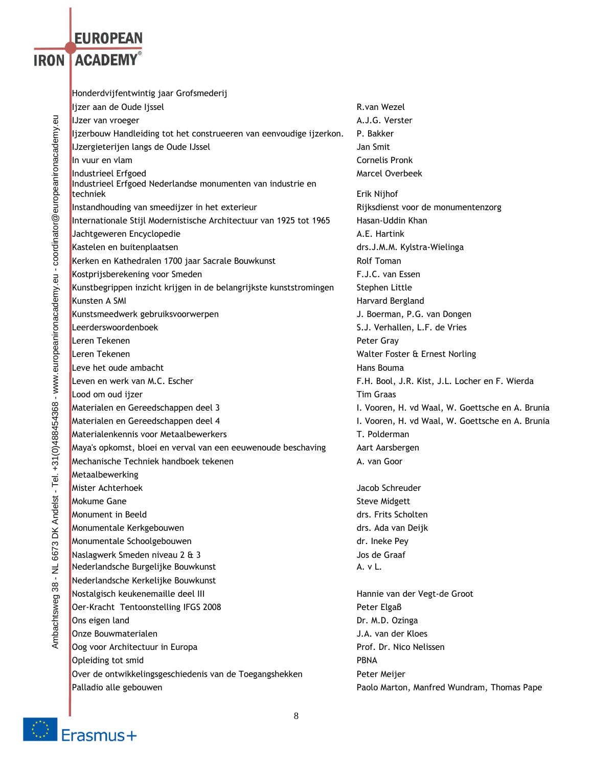# **EUROPEAN IRON LACADEMY®**

Honderdvijfentwintig jaar Grofsmederij Ijzer aan de Oude Ijssel R.van Wezel R.van Wezel IJzer van vroeger A.J.G. Verster Ijzerbouw Handleiding tot het construeeren van eenvoudige ijzerkon. P. Bakker IJzergieterijen langs de Oude IJssel Jan Smit **In vuur en vlam Cornelis Pronk Cornelis Pronk Industrieel Erfgoed Marcel Overbeek** Marcel Overbeek Industrieel Erfgoed Nederlandse monumenten van industrie en techniek Erik Nijhof Erik Nijhof Erik Nijhof Erik Nijhof Erik Nijhof Erik Nijhof Erik Nijhof Erik Nijhof Erik Nijhof Erik Nijhof Erik Nijhof Erik Nijhof Erik Nijhof Erik Nijhof Erik Nijhof Erik Nijhof Erik Nijhof Erik Nijh Instandhouding van smeedijzer in het exterieur **Rijksdienst voor de monumentenzorg** Internationale Stijl Modernistische Architectuur van 1925 tot 1965 Hasan-Uddin Khan Jachtgeweren Encyclopedie A.E. Hartink Kastelen en buitenplaatsen draain draain draain draain. Het draain draain draain draain draain draain draain dr Kerken en Kathedralen 1700 jaar Sacrale Bouwkunst Kolf Toman Kostprijsberekening voor Smeden F.J.C. van Essen Kunstbegrippen inzicht krijgen in de belangrijkste kunststromingen Stephen Little Kunsten A SMI **Harvard Bergland** Kunstsmeedwerk gebruiksvoorwerpen aan de verwerpen J. Boerman, P.G. van Dongen Leerderswoordenboek S.J. Verhallen, L.F. de Vries Leren Tekenen **Peter Gray** Leren Tekenen Walter Foster & Ernest Norling **Leve het oude ambacht Hans Bouma** Hans Bouma Leven en werk van M.C. Escher F.H. Bool, J.R. Kist, J.L. Locher en F. Wierda **Lood om oud iizer Tim Graas** Materialen en Gereedschappen deel 3 I. Vooren, H. vd Waal, W. Goettsche en A. Brunia Materialen en Gereedschappen deel 4 I. Vooren, H. vd Waal, W. Goettsche en A. Brunia Materialenkennis voor Metaalbewerkers T. Polderman Maya's opkomst, bloei en verval van een eeuwenoude beschaving Aart Aarsbergen Mechanische Techniek handboek tekenen A. van Goor Metaalbewerking Mister Achterhoek Jacob Schreuder Mokume Gane **Steve Midgett Steve Midgett Steve Midgett Monument in Beeld** drasses and drasses are the dramatic dramatic dramatic drs. Frits Scholten and drs. Frits Scholten and drs. Frits Scholten and drs. Frits Scholten and drs. Frits Scholten and drs. Frits Scholten and drs Monumentale Kerkgebouwen drs. Ada van Deijk Monumentale Schoolgebouwen dr. Ineke Pey Naslagwerk Smeden niveau 2 & 3 Jos de Graaf Nederlandsche Burgelijke Bouwkunst A. v L. Nederlandsche Kerkelijke Bouwkunst Nostalgisch keukenemaille deel III Hannie van der Vegt-de Groot Oer-Kracht Tentoonstelling IFGS 2008 Peter Elgaβ Ons eigen land Dr. M.D. Ozinga Onze Bouwmaterialen J.A. van der Kloes Oog voor Architectuur in Europa Prof. Dr. Nico Nelissen Opleiding tot smid **PBNA** Over de ontwikkelingsgeschiedenis van de Toegangshekken Peter Meijer Palladio alle gebouwen Paolo Marton, Manfred Wundram, Thomas Pape

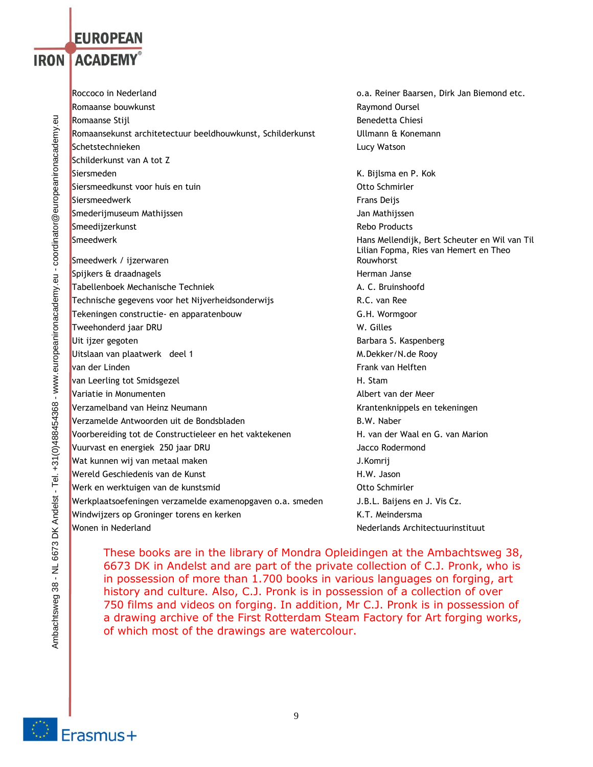# **EUROPEAN IRON LACADEMY**®

Roccoco in Nederland o.a. Reiner Baarsen, Dirk Jan Biemond etc. Romaanse bouwkunst aan die eerste kommuniste bouwkunst aan die kommuniste Raymond Oursel **Romaanse Stijl Benedetta Chiesi** Benedetta Chiesi **Benedetta Chiesi** Romaansekunst architetectuur beeldhouwkunst, Schilderkunst Villmann & Konemann Schetstechnieken aus der Einstein der Einstein aus der Eine Europa aus der Europa aus der Europa aus der Europ Schilderkunst van A tot Z Siersmeden K. Bijlsma en P. Kok Siersmeedkunst voor huis en tuin Otto Schmirler Siersmeedwerk Frans Deijs and Siersmeedwerk Frans Deijs and Siersmeedwerk Frans Deijs and Siersmeedwerk Frans D **Smederijmuseum Mathijssen** Jan Mathijssen Jan Mathijssen Smeedijzerkunst aan de eerste kommuniste van de eerste kommuniste van de eerste kommuniste van de eerste kommuniste van de eerste kommuniste van de eerste kommuniste van de eerste kommuniste van de eerste kommuniste van de Smeedwerk Hans Mellendijk, Bert Scheuter en Wil van Til Smeedwerk / ijzerwaren Spijkers & draadnagels Herman Janse Tabellenboek Mechanische Techniek A. C. Bruinshoofd Technische gegevens voor het Nijverheidsonderwijs R.C. van Ree Tekeningen constructie- en apparatenbouw G.H. Wormgoor Tweehonderd jaar DRU W. Gilles Uit ijzer gegoten Barbara S. Kaspenberg Uitslaan van plaatwerk deel 1 Metal 1 M.Dekker/N.de Rooy van der Linden Frank van Helften Frank van Helften Frank van Helften Frank van Helften Frank van Helften Frank van Helften Frank van Helften Frank van Helften Frank van Helften Frank van Helften Frank van Helften Frank van van Leerling tot Smidsgezel **H. Stammunder Stammunder Stammunder** H. Stammunder Variatie in Monumenten Albert van der Meer Verzamelband van Heinz Neumann Krantenknippels en tekeningen Verzamelde Antwoorden uit de Bondsbladen and B.W. Naber Voorbereiding tot de Constructieleer en het vaktekenen H. van der Waal en G. van Marion Vuurvast en energiek 250 jaar DRU van die steen van die van die Jacco Rodermond Wat kunnen wij van metaal maken J.Komrij Wereld Geschiedenis van de Kunst H.W. Jason H.W. Jason Werk en werktuigen van de kunstsmid van de en verslaan van de kunstsmid Werkplaatsoefeningen verzamelde examenopgaven o.a. smeden J.B.L. Baijens en J. Vis Cz. Windwijzers op Groninger torens en kerken Karten K.T. Meindersma Wonen in Nederland Nederlands Architectuurinstituut

Lilian Fopma, Ries van Hemert en Theo Rouwhorst

These books are in the library of Mondra Opleidingen at the Ambachtsweg 38, 6673 DK in Andelst and are part of the private collection of C.J. Pronk, who is in possession of more than 1.700 books in various languages on forging, art history and culture. Also, C.J. Pronk is in possession of a collection of over 750 films and videos on forging. In addition, Mr C.J. Pronk is in possession of a drawing archive of the First Rotterdam Steam Factory for Art forging works, of which most of the drawings are watercolour.

Erasmus+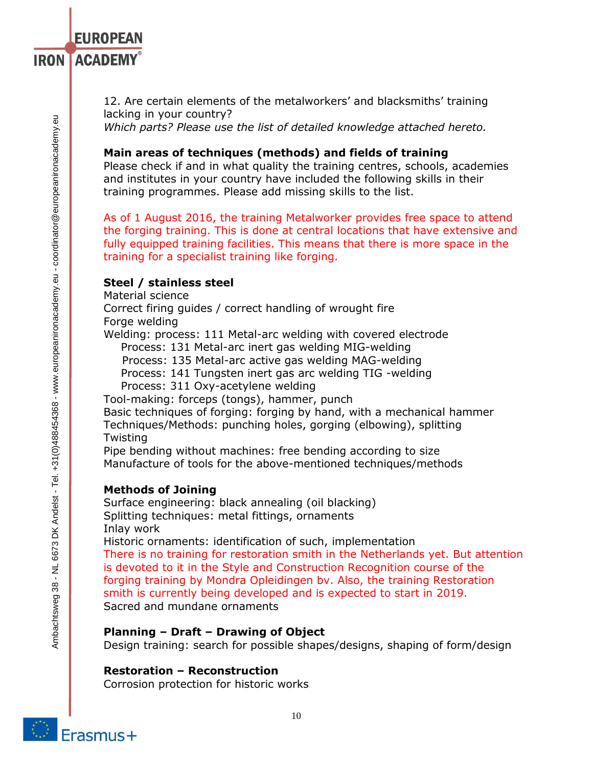12. Are certain elements of the metalworkers' and blacksmiths' training lacking in your country? *Which parts? Please use the list of detailed knowledge attached hereto.*

**Main areas of techniques (methods) and fields of training** 

Please check if and in what quality the training centres, schools, academies and institutes in your country have included the following skills in their training programmes. Please add missing skills to the list.

As of 1 August 2016, the training Metalworker provides free space to attend the forging training. This is done at central locations that have extensive and fully equipped training facilities. This means that there is more space in the training for a specialist training like forging.

## **Steel / stainless steel**

Material science

**EUROPEAN** 

**IRON ACADEMY®** 

Correct firing guides / correct handling of wrought fire

Forge welding

Welding: process: 111 Metal-arc welding with covered electrode Process: 131 Metal-arc inert gas welding MIG-welding

Process: 135 Metal-arc active gas welding MAG-welding

Process: 141 Tungsten inert gas arc welding TIG -welding

Process: 311 Oxy-acetylene welding

Tool-making: forceps (tongs), hammer, punch

Basic techniques of forging: forging by hand, with a mechanical hammer Techniques/Methods: punching holes, gorging (elbowing), splitting Twisting

Pipe bending without machines: free bending according to size Manufacture of tools for the above-mentioned techniques/methods

## **Methods of Joining**

Surface engineering: black annealing (oil blacking) Splitting techniques: metal fittings, ornaments Inlay work

Historic ornaments: identification of such, implementation There is no training for restoration smith in the Netherlands yet. But attention is devoted to it in the Style and Construction Recognition course of the forging training by Mondra Opleidingen bv. Also, the training Restoration smith is currently being developed and is expected to start in 2019. Sacred and mundane ornaments

## **Planning – Draft – Drawing of Object**

Design training: search for possible shapes/designs, shaping of form/design

## **Restoration – Reconstruction**

Corrosion protection for historic works

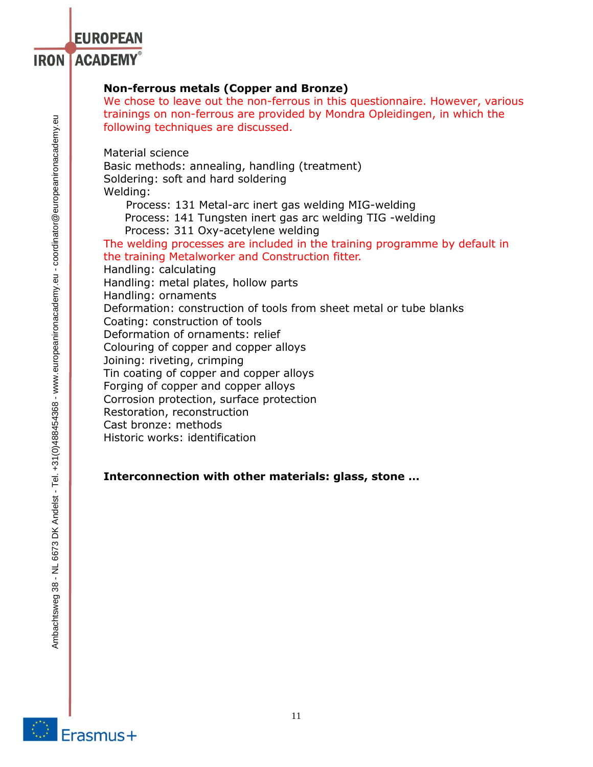# **EUROPEAN IRON ACADEMY®**

# **Non-ferrous metals (Copper and Bronze)**

We chose to leave out the non-ferrous in this questionnaire. However, various trainings on non-ferrous are provided by Mondra Opleidingen, in which the following techniques are discussed.

Material science

Basic methods: annealing, handling (treatment) Soldering: soft and hard soldering Welding:

Process: 131 Metal-arc inert gas welding MIG-welding

Process: 141 Tungsten inert gas arc welding TIG -welding

Process: 311 Oxy-acetylene welding

The welding processes are included in the training programme by default in the training Metalworker and Construction fitter.

Handling: calculating

Handling: metal plates, hollow parts Handling: ornaments Deformation: construction of tools from sheet metal or tube blanks Coating: construction of tools Deformation of ornaments: relief Colouring of copper and copper alloys Joining: riveting, crimping Tin coating of copper and copper alloys Forging of copper and copper alloys Corrosion protection, surface protection Restoration, reconstruction Cast bronze: methods Historic works: identification

# **Interconnection with other materials: glass, stone …**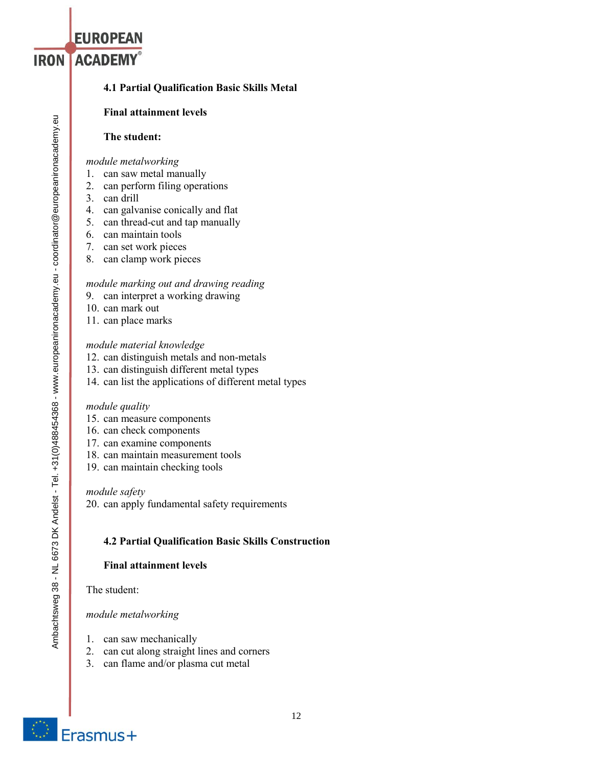# **4.1 Partial Qualification Basic Skills Metal**

### **Final attainment levels**

### **The student:**

*module metalworking*

- **1. can saw metal manually**
- **2. can perform filing operations**
- **3. can drill**

**EUROPEAN** 

**IRON ACADEMY®** 

- **4. can galvanise conically and flat**
- **5. can thread-cut and tap manually**
- **6. can maintain tools**
- **7. can set work pieces**
- **8. can clamp work pieces**

### *module marking out and drawing reading*

- **9. can interpret a working drawing**
- **10. can mark out**
- **11. can place marks**

### *module material knowledge*

- **12. can distinguish metals and non-metals**
- **13. can distinguish different metal types**
- **14. can list the applications of different metal types**

#### *module quality*

- **15. can measure components**
- **16. can check components**
- **17. can examine components**
- **18. can maintain measurement tools**
- **19. can maintain checking tools**

### *module safety*

**20. can apply fundamental safety requirements**

### **4.2 Partial Qualification Basic Skills Construction**

#### **Final attainment levels**

**The student:**

## *module metalworking*

- **1. can saw mechanically**
- **2. can cut along straight lines and corners**
- **3. can flame and/or plasma cut metal**

Ambachtsweg 38 - NL 6673 DK Andelst - Tel. +31(0)488454368 - www.europeanironacademy.eu - coordinator@europeanironacademy.eu Ambachtsweg 38 - NL 6673 DK Andelst - Tel. +31(0)488454368 - www.europeanironacademy.eu - coordinator@europeanironacademy.eu

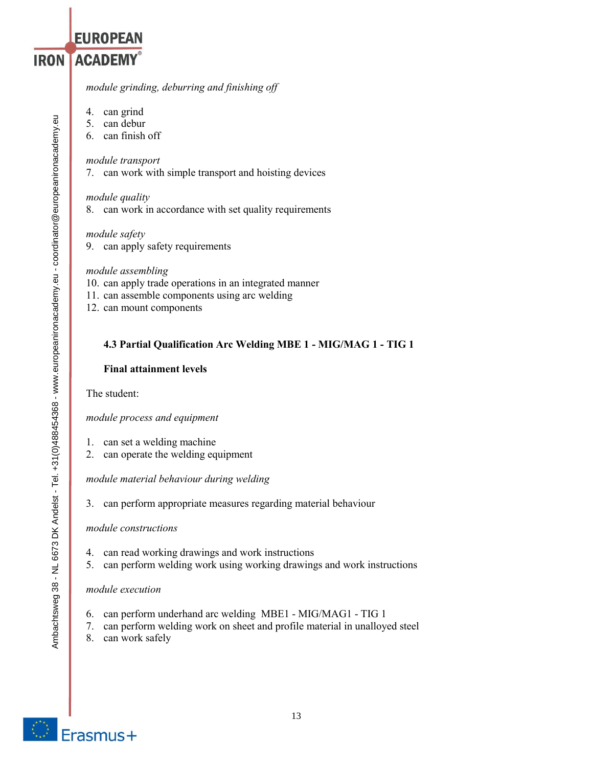*module grinding, deburring and finishing off*

**4. can grind**

**EUROPEAN** 

**IRON ACADEMY®** 

- **5. can debur**
- **6. can finish off**

*module transport*

**7. can work with simple transport and hoisting devices**

### *module quality*

**8. can work in accordance with set quality requirements**

### *module safety*

**9. can apply safety requirements**

### *module assembling*

- **10. can apply trade operations in an integrated manner**
- **11. can assemble components using arc welding**
- **12. can mount components**

## **4.3 Partial Qualification Arc Welding MBE 1 - MIG/MAG 1 - TIG 1**

### **Final attainment levels**

**The student:**

*module process and equipment*

- **1. can set a welding machine**
- **2. can operate the welding equipment**

*module material behaviour during welding*

**3. can perform appropriate measures regarding material behaviour**

#### *module constructions*

- **4. can read working drawings and work instructions**
- **5. can perform welding work using working drawings and work instructions**

#### *module execution*

- **6. can perform underhand arc welding MBE1 - MIG/MAG1 - TIG 1**
- **7. can perform welding work on sheet and profile material in unalloyed steel**
- **8. can work safely**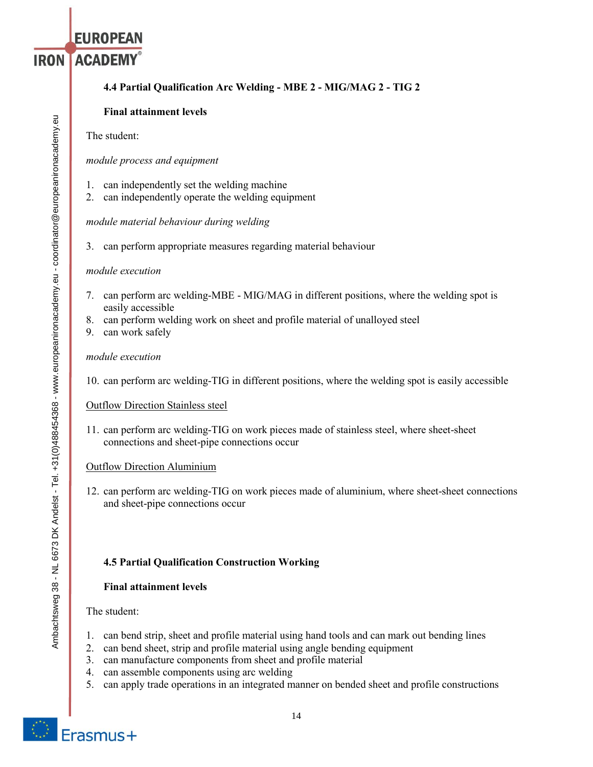# **EUROPEAN IRON ACADEMY®**

# **4.4 Partial Qualification Arc Welding - MBE 2 - MIG/MAG 2 - TIG 2**

## **Final attainment levels**

## **The student:**

## *module process and equipment*

- **1. can independently set the welding machine**
- **2. can independently operate the welding equipment**

## *module material behaviour during welding*

**3. can perform appropriate measures regarding material behaviour**

## *module execution*

- **7. can perform arc welding-MBE - MIG/MAG in different positions, where the welding spot is easily accessible**
- **8. can perform welding work on sheet and profile material of unalloyed steel**
- **9. can work safely**

## *module execution*

**10. can perform arc welding-TIG in different positions, where the welding spot is easily accessible**

## **Outflow Direction Stainless steel**

**11. can perform arc welding-TIG on work pieces made of stainless steel, where sheet-sheet connections and sheet-pipe connections occur**

## **Outflow Direction Aluminium**

**12. can perform arc welding-TIG on work pieces made of aluminium, where sheet-sheet connections and sheet-pipe connections occur**

## **4.5 Partial Qualification Construction Working**

## **Final attainment levels**

**The student:**

- **1. can bend strip, sheet and profile material using hand tools and can mark out bending lines**
- **2. can bend sheet, strip and profile material using angle bending equipment**
- **3. can manufacture components from sheet and profile material**
- **4. can assemble components using arc welding**
- **5. can apply trade operations in an integrated manner on bended sheet and profile constructions**



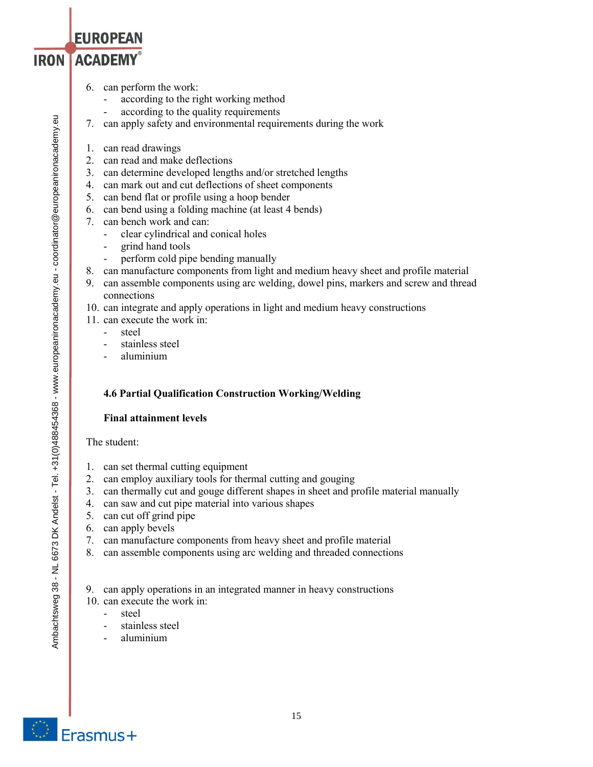- **EUROPEAN IRON ACADEMY®** 
	- **6. can perform the work:**
		- **- according to the right working method**
		- **- according to the quality requirements**
	- **7. can apply safety and environmental requirements during the work**
	- **1. can read drawings**
	- **2. can read and make deflections**
	- **3. can determine developed lengths and/or stretched lengths**
	- **4. can mark out and cut deflections of sheet components**
	- **5. can bend flat or profile using a hoop bender**
	- **6. can bend using a folding machine (at least 4 bends)**
	- **7. can bench work and can:**
		- **- clear cylindrical and conical holes**
		- **- grind hand tools**
		- **- perform cold pipe bending manually**
	- **8. can manufacture components from light and medium heavy sheet and profile material**
	- **9. can assemble components using arc welding, dowel pins, markers and screw and thread connections**
	- **10. can integrate and apply operations in light and medium heavy constructions**
	- **11. can execute the work in:**
		- **- steel**
		- **- stainless steel**
		- **- aluminium**

## **4.6 Partial Qualification Construction Working/Welding**

## **Final attainment levels**

## **The student:**

- **1. can set thermal cutting equipment**
- **2. can employ auxiliary tools for thermal cutting and gouging**
- **3. can thermally cut and gouge different shapes in sheet and profile material manually**
- **4. can saw and cut pipe material into various shapes**
- **5. can cut off grind pipe**
- **6. can apply bevels**
- **7. can manufacture components from heavy sheet and profile material**
- **8. can assemble components using arc welding and threaded connections**

**9. can apply operations in an integrated manner in heavy constructions**

- **10. can execute the work in:**
	- **- steel**
	- **- stainless steel**
	- **- aluminium**

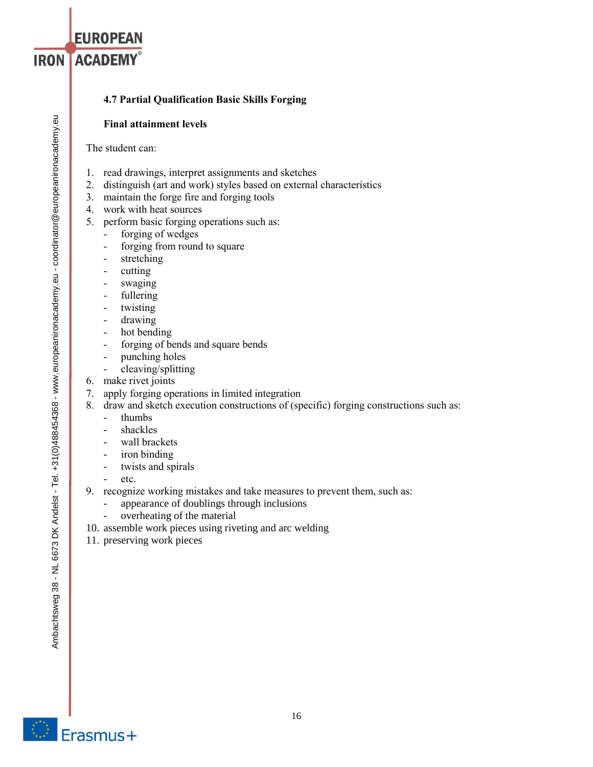# **4.7 Partial Qualification Basic Skills Forging**

# **Final attainment levels**

**The student can:**

**EUROPEAN** 

**IRON ACADEMY®** 

- **1. read drawings, interpret assignments and sketches**
- **2. distinguish (art and work) styles based on external characteristics**
- **3. maintain the forge fire and forging tools**
- **4. work with heat sources**
- **5. perform basic forging operations such as:**
	- **- forging of wedges**
	- **- forging from round to square**
	- **- stretching**
	- **- cutting**
	- **- swaging**
	- **- fullering**
	- **- twisting**
	- **- drawing**
	- **- hot bending**
	- **- forging of bends and square bends**
	- **- punching holes**
	- **- cleaving/splitting**
- **6. make rivet joints**
- **7. apply forging operations in limited integration**
- **8. draw and sketch execution constructions of (specific) forging constructions such as:**
	- **thumbs**
	- **shackles**
	- **wall brackets**
	- **iron binding**
	- **twists and spirals**
	- **etc.**
- **9. recognize working mistakes and take measures to prevent them, such as:**
	- appearance of doublings through inclusions
	- overheating of the material
- 10. assemble work pieces using riveting and arc welding
- 11. preserving work pieces

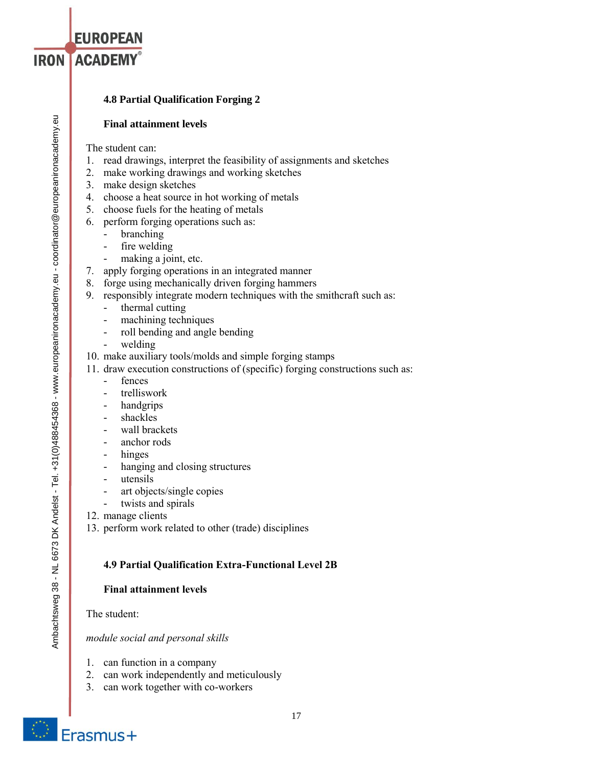# **4.8 Partial Qualification Forging 2**

## **Final attainment levels**

The student can:

**EUROPEAN** 

**IRON ACADEMY®** 

- **1. read drawings, interpret the feasibility of assignments and sketches**
- **2. make working drawings and working sketches**
- **3. make design sketches**
- **4. choose a heat source in hot working of metals**
- **5. choose fuels for the heating of metals**
- **6. perform forging operations such as:**
	- **branching**
	- **fire welding**
	- **making a joint, etc.**
- **7. apply forging operations in an integrated manner**
- **8. forge using mechanically driven forging hammers**
- **9. responsibly integrate modern techniques with the smithcraft such as:**
	- **thermal cutting**
	- **machining techniques**
	- **roll bending and angle bending**
	- **welding**
- **10. make auxiliary tools/molds and simple forging stamps**
- **11. draw execution constructions of (specific) forging constructions such as:**
	- **fences**
	- **trelliswork**
	- **handgrips**
	- **shackles**
	- **wall brackets**
	- **anchor rods**
	- **hinges**
	- **hanging and closing structures**
	- **utensils**
	- **art objects/single copies**
	- **twists and spirals**
- **12. manage clients**
- **13. perform work related to other (trade) disciplines**

# **4.9 Partial Qualification Extra-Functional Level 2B**

# **Final attainment levels**

**The student:**

*module social and personal skills*

- **1. can function in a company**
- **2. can work independently and meticulously**
- **3. can work together with co-workers**

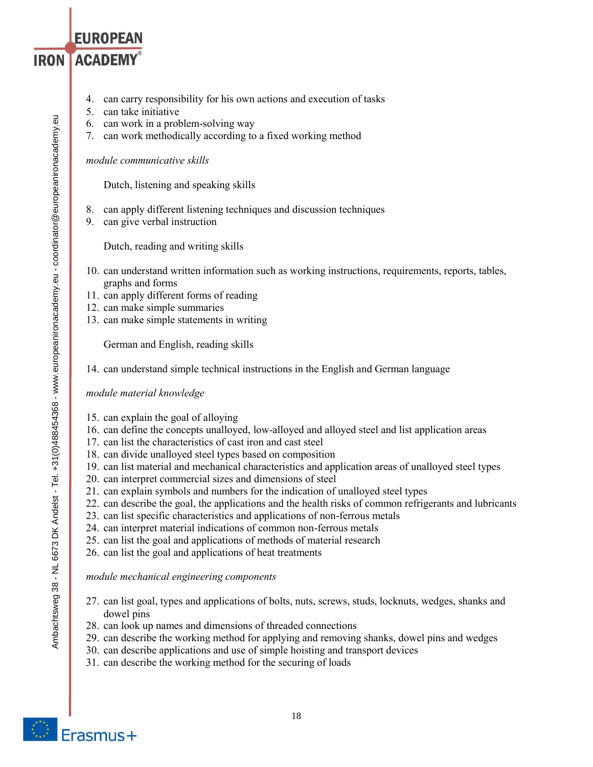- **4. can carry responsibility for his own actions and execution of tasks**
- **5. can take initiative**

**EUROPEAN** 

**IRON ACADEMY®** 

- **6. can work in a problem-solving way**
- **7. can work methodically according to a fixed working method**

*module communicative skills*

**Dutch, listening and speaking skills**

- **8. can apply different listening techniques and discussion techniques**
- **9. can give verbal instruction**

**Dutch, reading and writing skills**

- **10. can understand written information such as working instructions, requirements, reports, tables, graphs and forms**
- **11. can apply different forms of reading**
- **12. can make simple summaries**
- **13. can make simple statements in writing**

**German and English, reading skills**

**14. can understand simple technical instructions in the English and German language**

## *module material knowledge*

- **15. can explain the goal of alloying**
- **16. can define the concepts unalloyed, low-alloyed and alloyed steel and list application areas**
- **17. can list the characteristics of cast iron and cast steel**
- **18. can divide unalloyed steel types based on composition**
- **19. can list material and mechanical characteristics and application areas of unalloyed steel types**
- **20. can interpret commercial sizes and dimensions of steel**
- **21. can explain symbols and numbers for the indication of unalloyed steel types**
- **22. can describe the goal, the applications and the health risks of common refrigerants and lubricants**
- **23. can list specific characteristics and applications of non-ferrous metals**
- **24. can interpret material indications of common non-ferrous metals**
- **25. can list the goal and applications of methods of material research**
- **26. can list the goal and applications of heat treatments**

*module mechanical engineering components*

- **27. can list goal, types and applications of bolts, nuts, screws, studs, locknuts, wedges, shanks and dowel pins**
- **28. can look up names and dimensions of threaded connections**
- **29. can describe the working method for applying and removing shanks, dowel pins and wedges**
- **30. can describe applications and use of simple hoisting and transport devices**
- **31. can describe the working method for the securing of loads**



Erasmus+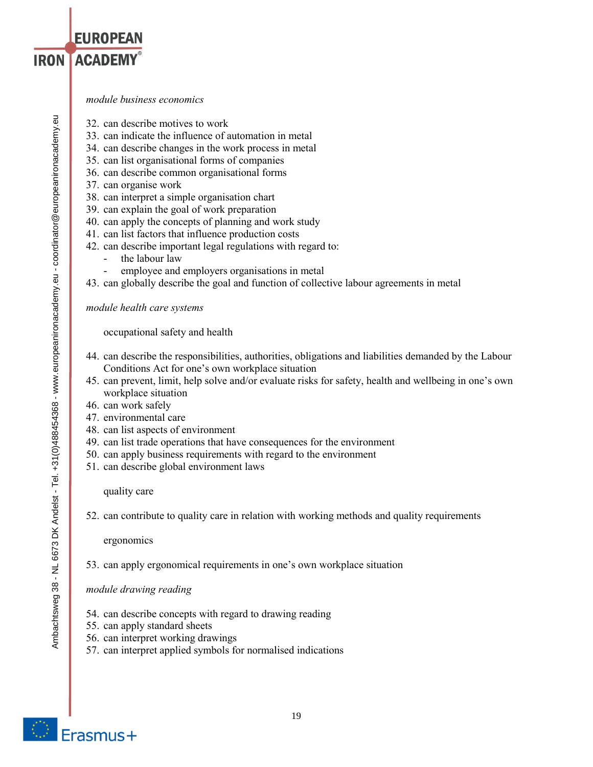- **32. can describe motives to work**
- **33. can indicate the influence of automation in metal**
- **34. can describe changes in the work process in metal**
- **35. can list organisational forms of companies**
- **36. can describe common organisational forms**
- **37. can organise work**
- **38. can interpret a simple organisation chart**
- **39. can explain the goal of work preparation**
- **40. can apply the concepts of planning and work study**
- **41. can list factors that influence production costs**
- **42. can describe important legal regulations with regard to:**
	- **the labour law**
		- **employee and employers organisations in metal**
- **43. can globally describe the goal and function of collective labour agreements in metal**

*module health care systems*

**occupational safety and health**

- **44. can describe the responsibilities, authorities, obligations and liabilities demanded by the Labour Conditions Act for one's own workplace situation**
- **45. can prevent, limit, help solve and/or evaluate risks for safety, health and wellbeing in one's own workplace situation**
- **46. can work safely**
- **47. environmental care**
- **48. can list aspects of environment**
- **49. can list trade operations that have consequences for the environment**
- **50. can apply business requirements with regard to the environment**
- **51. can describe global environment laws**

**quality care**

**52. can contribute to quality care in relation with working methods and quality requirements**

**ergonomics**

**53. can apply ergonomical requirements in one's own workplace situation**

*module drawing reading*

- **54. can describe concepts with regard to drawing reading**
- **55. can apply standard sheets**
- **56. can interpret working drawings**
- **57. can interpret applied symbols for normalised indications**



**EUROPEAN**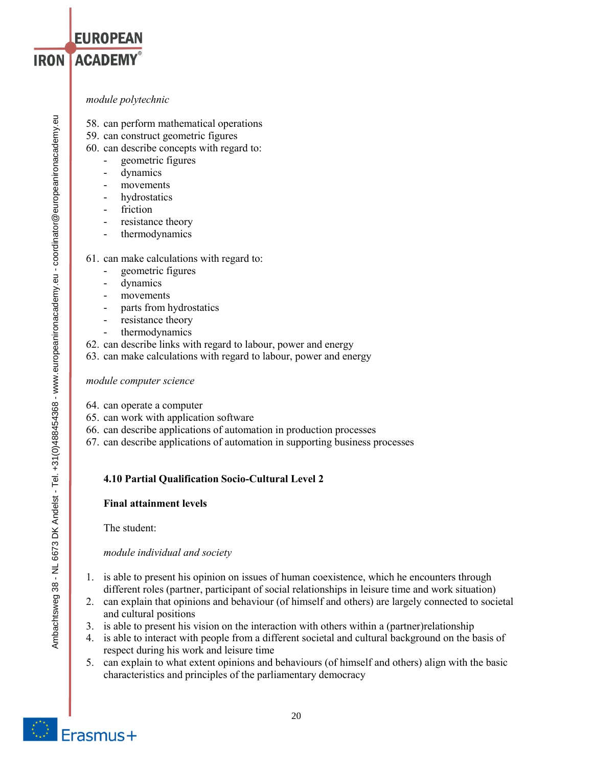## *module polytechnic*

**EUROPEAN** 

**IRON ACADEMY®** 

- **58. can perform mathematical operations**
- **59. can construct geometric figures**
- **60. can describe concepts with regard to:**
	- **geometric figures**
	- **dynamics**
	- **movements**
	- **hydrostatics**
	- **friction**
	- **resistance theory**
	- **thermodynamics**
- **61. can make calculations with regard to:**
	- **geometric figures**
	- **dynamics**
	- **movements**
	- **parts from hydrostatics**
	- resistance theory
	- **thermodynamics**
- **62. can describe links with regard to labour, power and energy**
- **63. can make calculations with regard to labour, power and energy**

### *module computer science*

- **64. can operate a computer**
- **65. can work with application software**
- **66. can describe applications of automation in production processes**
- **67. can describe applications of automation in supporting business processes**

## **4.10 Partial Qualification Socio-Cultural Level 2**

## **Final attainment levels**

**The student:**

*module individual and society*

- **1. is able to present his opinion on issues of human coexistence, which he encounters through different roles (partner, participant of social relationships in leisure time and work situation)**
- **2. can explain that opinions and behaviour (of himself and others) are largely connected to societal and cultural positions**
- **3. is able to present his vision on the interaction with others within a (partner)relationship**
- **4. is able to interact with people from a different societal and cultural background on the basis of respect during his work and leisure time**
- **5. can explain to what extent opinions and behaviours (of himself and others) align with the basic characteristics and principles of the parliamentary democracy**